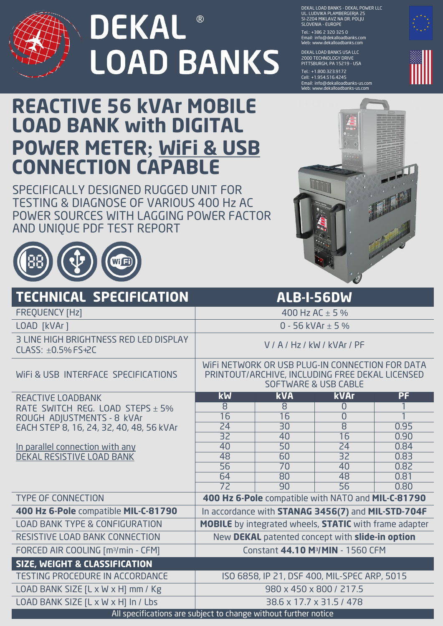

## **DEKAL** ® **LOAD BANKS**

DEKAL LOAD BANKS - DEKAL POWER LLC UL. LUDVIKA PLAMBERGERJA 25 SI-2204 MIKLAVZ NA DR. POLJU SLOVENIA - EUROPE

Tel.: + 386 2 320 325 0 Email: info@dekalloadbanks.com Web: www.dekalloadbanks.com

DEKAL LOAD BANKS USA LLC 2000 TECHNOLOGY DRIVE PITTSBURGH, PA 15219 - USA

Tel.: +1.800.323.9172 Cell: + 1.954.516.4245 Email: info@dekalloadbanks-us.com Web: www.dekalloadbanks-us.com



## **REACTIVE 56 kVAr MOBILE LOAD BANK with DIGITAL POWER METER; WiFi & USB CONNECTION CAPABLE**

SPECIFICALLY DESIGNED RUGGED UNIT FOR TESTING & DIAGNOSE OF VARIOUS 400 Hz AC POWER SOURCES WITH LAGGING POWER FACTOR AND UNIQUE PDF TEST REPORT



|                                                                 | $\mathcal{O}$                                                                                                                         |                                    |                       |      |
|-----------------------------------------------------------------|---------------------------------------------------------------------------------------------------------------------------------------|------------------------------------|-----------------------|------|
| <b>TECHNICAL SPECIFICATION</b>                                  | <b>ALB-I-56DW</b>                                                                                                                     |                                    |                       |      |
| <b>FREQUENCY [Hz]</b>                                           | 400 Hz AC $\pm$ 5 %                                                                                                                   |                                    |                       |      |
| LOAD [kVAr]                                                     | 0 - 56 kVAr $\pm$ 5 %                                                                                                                 |                                    |                       |      |
| 3 LINE HIGH BRIGHTNESS RED LED DISPLAY<br>CLASS: ±0.5% FS+2C    | V/A/Hz/kW/kVAr/PF                                                                                                                     |                                    |                       |      |
| WIFI & USB INTERFACE SPECIFICATIONS                             | WIFI NETWORK OR USB PLUG-IN CONNECTION FOR DATA<br>PRINTOUT/ARCHIVE, INCLUDING FREE DEKAL LICENSED<br><b>SOFTWARE &amp; USB CABLE</b> |                                    |                       |      |
| REACTIVE LOADBANK                                               | $\overline{\text{kW}}$                                                                                                                | <b>kVA</b>                         | <b>kVAr</b>           | PF   |
| RATE SWITCH REG. LOAD STEPS $\pm$ 5%                            | 8                                                                                                                                     | 8                                  | $\overline{0}$        |      |
| ROUGH ADJUSTMENTS - 8 kVAr                                      | $\overline{16}$                                                                                                                       | $\overline{16}$                    | $\overline{0}$        |      |
| EACH STEP 8, 16, 24, 32, 40, 48, 56 kVAr                        | $\overline{24}$                                                                                                                       | $\overline{30}$                    | $\overline{8}$        | 0.95 |
|                                                                 | $\overline{32}$                                                                                                                       | 40                                 | $\overline{16}$       | 0.90 |
| In parallel connection with any                                 | 40                                                                                                                                    | $\overline{50}$                    | 24                    | 0.84 |
| <u>DEKAL RESISTIVE LOAD BANK</u>                                | 48                                                                                                                                    | 60                                 | $\overline{32}$       | 0.83 |
|                                                                 | $\overline{56}$                                                                                                                       | $\overline{70}$                    | 40                    | 0.82 |
|                                                                 | $\overline{64}$<br>$\overline{72}$                                                                                                    | $\overline{80}$<br>$\overline{90}$ | 48<br>$\overline{56}$ | 0.81 |
| <b>TYPE OF CONNECTION</b>                                       |                                                                                                                                       |                                    |                       | 0.80 |
|                                                                 | 400 Hz 6-Pole compatible with NATO and MIL-C-81790                                                                                    |                                    |                       |      |
| 400 Hz 6-Pole compatible MIL-C-81790                            | In accordance with STANAG 3456(7) and MIL-STD-704F                                                                                    |                                    |                       |      |
| LOAD BANK TYPE & CONFIGURATION                                  | <b>MOBILE</b> by integrated wheels, <b>STATIC</b> with frame adapter                                                                  |                                    |                       |      |
| RESISTIVE LOAD BANK CONNECTION                                  | New DEKAL patented concept with slide-in option                                                                                       |                                    |                       |      |
| FORCED AIR COOLING [m <sup>3</sup> /min - CFM]                  | Constant 44.10 M <sup>3</sup> /MIN - 1560 CFM                                                                                         |                                    |                       |      |
| SIZE, WEIGHT & CLASSIFICATION                                   |                                                                                                                                       |                                    |                       |      |
| <b>TESTING PROCEDURE IN ACCORDANCE</b>                          | ISO 6858, IP 21, DSF 400, MIL-SPEC ARP, 5015                                                                                          |                                    |                       |      |
| LOAD BANK SIZE [L x W x H] mm / Kg                              | 980 x 450 x 800 / 217.5                                                                                                               |                                    |                       |      |
| LOAD BANK SIZE [L x W x H] In / Lbs                             | 38.6 x 17.7 x 31.5 / 478                                                                                                              |                                    |                       |      |
| All specifications are subject to change without further notice |                                                                                                                                       |                                    |                       |      |